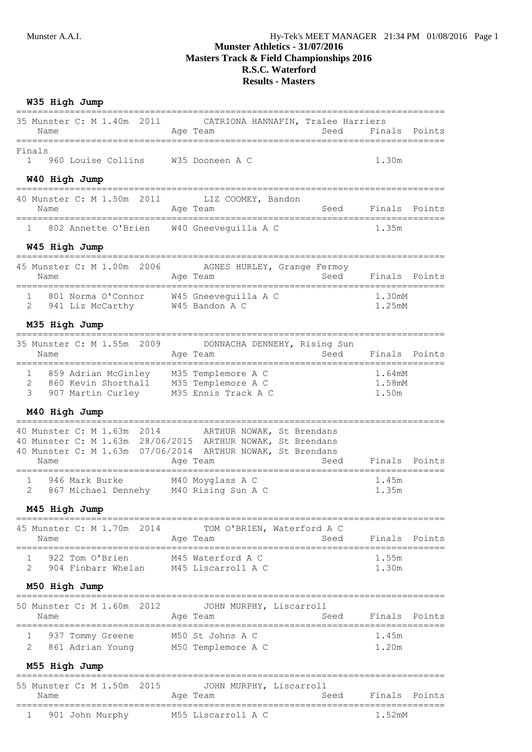# **R.S.C. Waterford Results - Masters**

## **W35 High Jump**

| Name<br>====================================                                                                                           | 35 Munster C: M 1.40m 2011 CATRIONA HANNAFIN, Tralee Harriers<br>Age Team                                                                                                 | Seed Finals Points<br>=========================   |
|----------------------------------------------------------------------------------------------------------------------------------------|---------------------------------------------------------------------------------------------------------------------------------------------------------------------------|---------------------------------------------------|
| Finals<br>960 Louise Collins M35 Dooneen A C<br>$1 \quad$                                                                              |                                                                                                                                                                           | 1.30m                                             |
| W40 High Jump<br>======================                                                                                                |                                                                                                                                                                           |                                                   |
| 40 Munster C: M 1.50m 2011<br>Name                                                                                                     | LIZ COOMEY, Bandon<br>Age Team                                                                                                                                            | Seed Finals Points                                |
| 1 802 Annette O'Brien W40 Gneeveguilla A C                                                                                             |                                                                                                                                                                           | 1.35m                                             |
| W45 High Jump                                                                                                                          |                                                                                                                                                                           |                                                   |
| Name                                                                                                                                   | 45 Munster C: M 1.00m 2006 AGNES HURLEY, Grange Fermoy<br>Age Team<br>Seed                                                                                                | Finals Points                                     |
| 801 Norma O'Connor W45 Gneeveguilla A C<br>$\mathbf{1}$<br>2 941 Liz McCarthy W45 Bandon A C                                           |                                                                                                                                                                           | 1.30mM<br>1.25mM                                  |
| M35 High Jump                                                                                                                          |                                                                                                                                                                           |                                                   |
| --------------<br>Name                                                                                                                 | 35 Munster C: M 1.55m 2009 DONNACHA DENNEHY, Rising Sun<br>Seed<br>Age Team                                                                                               | Finals Points                                     |
| 1 859 Adrian McGinley 1 M35 Templemore A C<br>2 860 Kevin Shorthall 1 M35 Templemore A C<br>907 Martin Curley M35 Ennis Track A C<br>3 |                                                                                                                                                                           | ==========<br>1.64mM<br>1.58mM<br>1.50m           |
| M40 High Jump                                                                                                                          |                                                                                                                                                                           |                                                   |
| 40 Munster C: M 1.63m 2014<br>Name                                                                                                     | ARTHUR NOWAK, St Brendans<br>40 Munster C: M 1.63m 28/06/2015 ARTHUR NOWAK, St Brendans<br>40 Munster C: M 1.63m 07/06/2014 ARTHUR NOWAK, St Brendans<br>Seed<br>Age Team | ================================<br>Finals Points |
| 946 Mark Burke               M40 Moyglass A C<br>867 Michael Dennehy     M40 Rising Sun A C<br>1<br>2                                  |                                                                                                                                                                           | 1.45m<br>1.35m                                    |
| M45 High Jump                                                                                                                          |                                                                                                                                                                           |                                                   |
| 45 Munster C: M 1.70m 2014<br>Name                                                                                                     | TOM O'BRIEN, Waterford A C<br>Age Team<br>Seed                                                                                                                            | Finals Points                                     |
| 922 Tom O'Brien<br>2<br>904 Finbarr Whelan M45 Liscarroll A C                                                                          | M45 Waterford A C                                                                                                                                                         | 1.55m<br>1.30m                                    |
| M50 High Jump                                                                                                                          |                                                                                                                                                                           |                                                   |
| 50 Munster C: M 1.60m 2012<br>Name                                                                                                     | JOHN MURPHY, Liscarroll<br>Seed<br>Age Team                                                                                                                               | Finals<br>Points                                  |
| ı<br>937 Tommy Greene<br>2<br>861 Adrian Young                                                                                         | M50 St Johns A C<br>M50 Templemore A C                                                                                                                                    | 1.45m<br>1.20m                                    |
| M55 High Jump                                                                                                                          |                                                                                                                                                                           |                                                   |
| 55 Munster C: M 1.50m<br>2015<br>Name                                                                                                  | :=========================<br>JOHN MURPHY, Liscarroll<br>Age Team<br>Seed<br>========================                                                                     | Finals<br>Points                                  |
| =====================================<br>901 John Murphy<br>1                                                                          | M55 Liscarroll A C                                                                                                                                                        | 1.52mM                                            |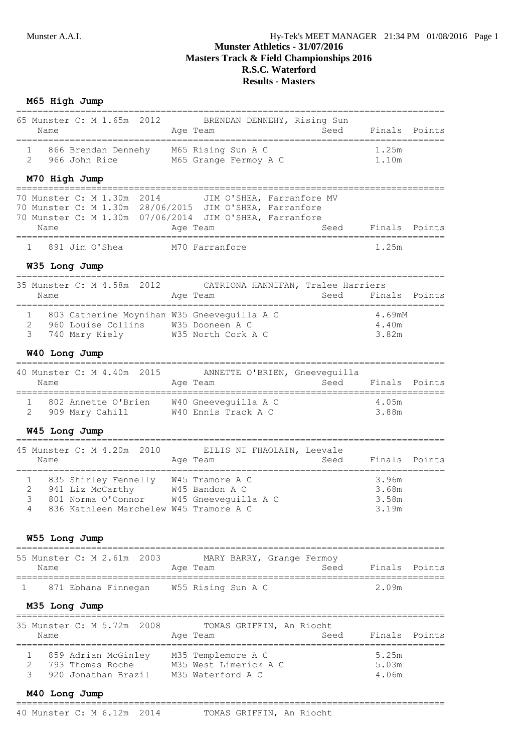# **Munster Athletics - 31/07/2016 Masters Track & Field Championships 2016 R.S.C. Waterford Results - Masters**

| M65 High Jump                                                                                                                                                               |                                                                                                          |                                          |
|-----------------------------------------------------------------------------------------------------------------------------------------------------------------------------|----------------------------------------------------------------------------------------------------------|------------------------------------------|
| 65 Munster C: M 1.65m 2012<br>Name                                                                                                                                          | BRENDAN DENNEHY, Rising Sun<br>Age Team<br>Seed                                                          | Finals<br>Points                         |
| 866 Brendan Dennehy M65 Rising Sun A C<br>2<br>966 John Rice                                                                                                                | M65 Grange Fermoy A C                                                                                    | 1.25m<br>1.10m                           |
| M70 High Jump<br>-------------------------                                                                                                                                  |                                                                                                          |                                          |
| 70 Munster C: M 1.30m 2014<br>70 Munster C: M 1.30m 28/06/2015 JIM O'SHEA, Farranfore<br>Name                                                                               | JIM O'SHEA, Farranfore MV<br>70 Munster C: M 1.30m 07/06/2014 JIM O'SHEA, Farranfore<br>Seed<br>Age Team | Finals Points                            |
| 891 Jim O'Shea                                                                                                                                                              | M70 Farranfore                                                                                           | 1.25m                                    |
| W35 Long Jump                                                                                                                                                               |                                                                                                          |                                          |
| 35 Munster C: M 4.58m<br>2012<br>Name                                                                                                                                       | CATRIONA HANNIFAN, Tralee Harriers<br>Age Team<br>Seed                                                   | Finals<br>Points                         |
| 803 Catherine Moynihan W35 Gneeveguilla A C<br>1<br>$\overline{2}$<br>960 Louise Collins W35 Dooneen A C<br>3<br>740 Mary Kiely                                             | W35 North Cork A C                                                                                       | 4.69mM<br>4.40m<br>3.82m                 |
| W40 Long Jump                                                                                                                                                               |                                                                                                          |                                          |
| 40 Munster C: M 4.40m 2015<br>Name<br>======                                                                                                                                | ANNETTE O'BRIEN, Gneeveguilla<br>Seed<br>Age Team                                                        | Finals Points<br>======================= |
| 1<br>802 Annette O'Brien<br>2<br>909 Mary Cahill                                                                                                                            | W40 Gneeveguilla A C<br>W40 Ennis Track A C                                                              | 4.05m<br>3.88m                           |
| W45 Long Jump                                                                                                                                                               |                                                                                                          |                                          |
| ----------------------<br>45 Munster C: M 4.20m 2010<br>Name                                                                                                                | EILIS NI FHAOLAIN, Leevale<br>Age Team<br>Seed                                                           | Finals<br>Points                         |
| 835 Shirley Fennelly W45 Tramore A C<br>1<br>941 Liz McCarthy W45 Bandon A C<br>801 Norma O'Connor W45 Gneeveguilla A C<br>3<br>836 Kathleen Marchelew W45 Tramore A C<br>4 |                                                                                                          | 3.96m<br>3.68m<br>3.58m<br>3.19m         |
| W55 Long Jump                                                                                                                                                               |                                                                                                          |                                          |
| =====================================<br>55 Munster C: M 2.61m 2003<br>Name                                                                                                 | MARY BARRY, Grange Fermoy<br>Seed<br>Age Team                                                            | Finals<br>Points                         |
| 871 Ebhana Finnegan W55 Rising Sun A C<br>1                                                                                                                                 |                                                                                                          | 2.09m                                    |
| M35 Long Jump                                                                                                                                                               |                                                                                                          |                                          |
| 35 Munster C: M 5.72m 2008<br>Name                                                                                                                                          | TOMAS GRIFFIN, An Riocht<br>Age Team<br>Seed                                                             | Finals Points                            |

| <b>IVAILL</b> |                     | ny ra                 | .<br>. | $\pm$ 114 $\pm$ 114 $\pm$ 115 $\pm$ 115 $\pm$ 115 $\pm$ |  |
|---------------|---------------------|-----------------------|--------|---------------------------------------------------------|--|
|               | 859 Adrian McGinley | M35 Templemore A C    |        | 5.25m                                                   |  |
|               | 793 Thomas Roche    | M35 West Limerick A C |        | 5.03m                                                   |  |
|               | 920 Jonathan Brazil | M35 Waterford A C     |        | 4.06m                                                   |  |

#### **M40 Long Jump** ================================================================================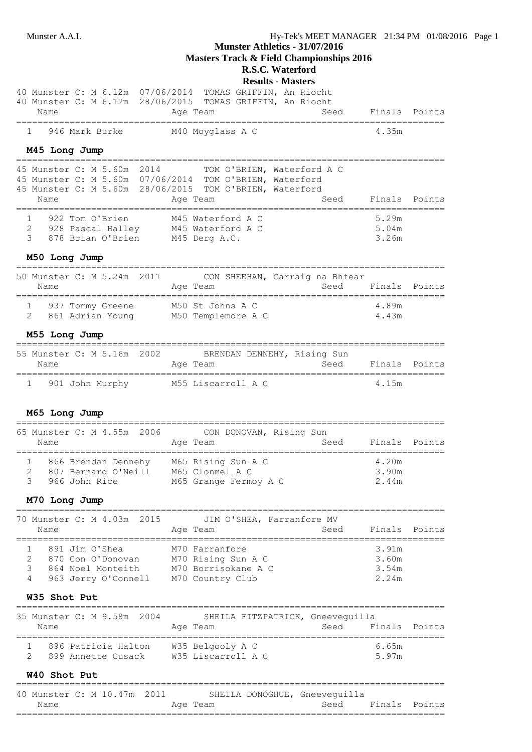**Masters Track & Field Championships 2016**

# **R.S.C. Waterford**

# **Results - Masters**

| 40 Munster C: M 6.12m 07/06/2014 TOMAS GRIFFIN, An Riocht<br>40 Munster C: M 6.12m 28/06/2015 TOMAS GRIFFIN, An Riocht<br>Age Team<br>Seed<br>Name<br>=========================                            | Finals Points                    |        |
|------------------------------------------------------------------------------------------------------------------------------------------------------------------------------------------------------------|----------------------------------|--------|
| 946 Mark Burke<br>M40 Moyglass A C<br>1                                                                                                                                                                    | 4.35m                            |        |
| M45 Long Jump                                                                                                                                                                                              |                                  |        |
| 45 Munster C: M 5.60m 2014<br>TOM O'BRIEN, Waterford A C<br>45 Munster C: M 5.60m 07/06/2014 TOM O'BRIEN, Waterford<br>45 Munster C: M 5.60m 28/06/2015 TOM O'BRIEN, Waterford<br>Seed<br>Name<br>Age Team | Finals Points                    |        |
| 922 Tom O'Brien<br>M45 Waterford A C<br>1<br>2<br>928 Pascal Halley M45 Waterford A C<br>3<br>878 Brian O'Brien M45 Derg A.C.                                                                              | 5.29m<br>5.04m<br>3.26m          |        |
| M50 Long Jump                                                                                                                                                                                              |                                  |        |
| 50 Munster C: M 5.24m 2011<br>CON SHEEHAN, Carraig na Bhfear<br>Name<br>Age Team<br>Seed                                                                                                                   | Finals Points                    |        |
| 1 937 Tommy Greene M50 St Johns A C<br>861 Adrian Young M50 Templemore A C<br>$\overline{2}$                                                                                                               | 4.89m<br>4.43m                   |        |
| M55 Long Jump<br>___________________________________<br>========================                                                                                                                           |                                  |        |
| 55 Munster C: M 5.16m 2002 BRENDAN DENNEHY, Rising Sun<br>Seed<br>Age Team<br>Name                                                                                                                         | Finals Points                    |        |
| 901 John Murphy         M55 Liscarroll A C<br>ı                                                                                                                                                            | 4.15m                            |        |
| M65 Long Jump<br>65 Munster C: M 4.55m 2006<br>CON DONOVAN, Rising Sun<br>Seed<br>Name<br>Age Team                                                                                                         | Finals Points                    |        |
| 866 Brendan Dennehy M65 Rising Sun A C<br>1<br>807 Bernard O'Neill M65 Clonmel A C<br>2<br>3<br>966 John Rice<br>M65 Grange Fermoy A C                                                                     | 4.20m<br>3.90m<br>2.44m          |        |
| M70 Long Jump                                                                                                                                                                                              |                                  |        |
| -----------------------------------<br>____________________________________<br>Munster C: M 4.03m 2015<br>JIM O'SHEA, Farranfore MV<br>70<br>Age Team<br>Name<br>Seed                                      | Finals                           | Points |
| 891 Jim O'Shea<br>M70 Farranfore<br>1<br>2<br>870 Con O'Donovan<br>M70 Rising Sun A C<br>M70 Borrisokane A C<br>3<br>864 Noel Monteith<br>963 Jerry O'Connell M70 Country Club<br>4<br>W35 Shot Put        | 3.91m<br>3.60m<br>3.54m<br>2.24m |        |
| ==================<br>35 Munster C: M 9.58m 2004<br>SHEILA FITZPATRICK, Gneeveguilla<br>Age Team<br>Seed<br>Name                                                                                           | Finals                           | Points |
| ====================<br>896 Patricia Halton<br>W35 Belgooly A C<br>ı.<br>2<br>899 Annette Cusack W35 Liscarroll A C                                                                                        | _______<br>6.65m<br>5.97m        |        |
| W40 Shot Put                                                                                                                                                                                               |                                  |        |
|                                                                                                                                                                                                            |                                  |        |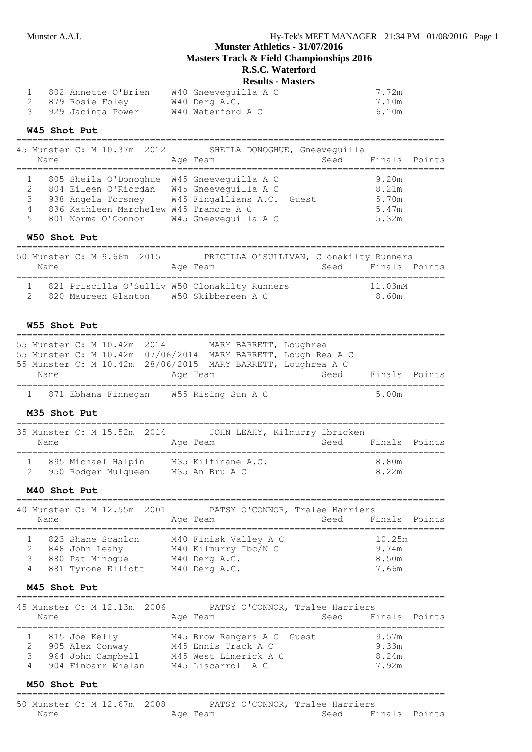**Masters Track & Field Championships 2016**

# **R.S.C. Waterford**

| <b>Results - Masters</b> |
|--------------------------|
|                          |

| 802 Annette O'Brien | W40 Gneevequilla A C | 7.72m |
|---------------------|----------------------|-------|
|                     | W40 Derg A.C.        | 7.10m |
| 3 929 Jacinta Power | W40 Waterford A C    | 6.10m |

#### **W45 Shot Put**

================================================================================ 45 Munster C: M 10.37m 2012 SHEILA DONOGHUE, Gneeveguilla Name **Age Team** Age Team Seed Finals Points ================================================================================ 1 805 Sheila O'Donoghue W45 Gneeveguilla A C 9.20m 2 804 Eileen O'Riordan W45 Gneeveguilla A C 8.21m 3 938 Angela Torsney W45 Fingallians A.C. Guest 5.70m 4 836 Kathleen Marchelew W45 Tramore A C 5.47m 5 801 Norma O'Connor W45 Gneeveguilla A C 5.32m

#### **W50 Shot Put**

================================================================================ 50 Munster C: M 9.66m 2015 PRICILLA O'SULLIVAN, Clonakilty Runners Name **Age Team Seed Finals Points** Age Team Seed Finals Points ================================================================================ 1 821 Priscilla O'Sulliv W50 Clonakilty Runners 11.03mM 2 820 Maureen Glanton W50 Skibbereen A C 8.60m

#### **W55 Shot Put**

| Name                        |  | Age Team |  | 55 Munster C: M 10.42m 28/06/2015 MARY BARRETT, Loughrea A C<br>Seed                    | Finals Points |  |
|-----------------------------|--|----------|--|-----------------------------------------------------------------------------------------|---------------|--|
| 55 Munster C: M 10.42m 2014 |  |          |  | MARY BARRETT, Loughrea<br>55 Munster C: M 10.42m 07/06/2014 MARY BARRETT, Lough Rea A C |               |  |

#### **M35 Shot Put**

| 35 Munster C: M 15.52m 2014<br>Name |                                           |  | Age Team                             | JOHN LEAHY, Kilmurry Ibricken | Seed | Finals Points  |  |
|-------------------------------------|-------------------------------------------|--|--------------------------------------|-------------------------------|------|----------------|--|
|                                     | 895 Michael Halpin<br>950 Rodger Mulqueen |  | M35 Kilfinane A.C.<br>M35 An Bru A C |                               |      | 8.80m<br>8.22m |  |

#### **M40 Shot Put**

| Name   | 40 Munster C: M 12.55m 2001                                                  | PATSY O'CONNOR, Tralee Harriers<br>Age Team                                     | Seed Finals Points                |
|--------|------------------------------------------------------------------------------|---------------------------------------------------------------------------------|-----------------------------------|
| 3<br>4 | 823 Shane Scanlon<br>848 John Leahy<br>880 Pat Minoque<br>881 Tyrone Elliott | M40 Finisk Valley A C<br>M40 Kilmurry Ibc/N C<br>M40 Derg A.C.<br>M40 Derg A.C. | 10.25m<br>9.74m<br>8.50m<br>7.66m |

### **M45 Shot Put**

| Name | 45 Munster C: M 12.13m 2006                                                 | PATSY O'CONNOR, Tralee Harriers<br>Age Team                                                      | Seed | Finals Points                    |  |
|------|-----------------------------------------------------------------------------|--------------------------------------------------------------------------------------------------|------|----------------------------------|--|
|      | 815 Joe Kelly<br>905 Alex Conway<br>964 John Campbell<br>904 Finbarr Whelan | M45 Brow Rangers A C Guest<br>M45 Ennis Track A C<br>M45 West Limerick A C<br>M45 Liscarroll A C |      | 9.57m<br>9.33m<br>8.24m<br>7.92m |  |

#### **M50 Shot Put**

================================================================================

| 50 Munster C: M 12.67m 2008 |  |          | PATSY O'CONNOR, Tralee Harriers |      |               |  |
|-----------------------------|--|----------|---------------------------------|------|---------------|--|
| Name                        |  | Age Team |                                 | Seed | Finals Points |  |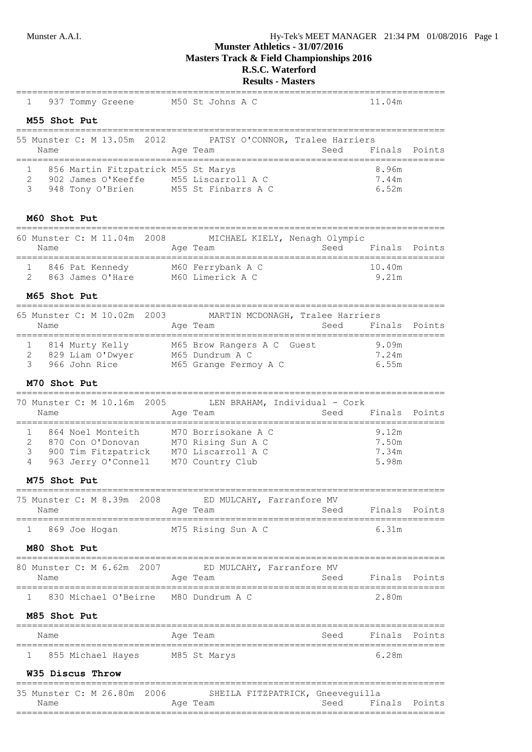# Munster A.A.I. Hy-Tek's MEET MANAGER 21:34 PM 01/08/2016 Page 1

# **Munster Athletics - 31/07/2016**

**Masters Track & Field Championships 2016**

# **R.S.C. Waterford**

# **Results - Masters**

| 937 Tommy Greene M50 St Johns A C<br>ı                                                                                           |                                           |      | 11.04m                                                |        |
|----------------------------------------------------------------------------------------------------------------------------------|-------------------------------------------|------|-------------------------------------------------------|--------|
| M55 Shot Put                                                                                                                     |                                           |      |                                                       |        |
| 55 Munster C: M 13.05m 2012                                                                                                      | PATSY O'CONNOR, Tralee Harriers           |      |                                                       |        |
| Name                                                                                                                             | Age Team                                  | Seed | Finals                                                | Points |
| 856 Martin Fitzpatrick M55 St Marys                                                                                              |                                           |      | 8.96m                                                 |        |
| 902 James O'Keeffe M55 Liscarroll A C<br>2                                                                                       |                                           |      | 7.44m                                                 |        |
| 3<br>948 Tony O'Brien M55 St Finbarrs A C                                                                                        |                                           |      | 6.52m                                                 |        |
| M60 Shot Put                                                                                                                     |                                           |      |                                                       |        |
| 60 Munster C: M 11.04m 2008 MICHAEL KIELY, Nenagh Olympic                                                                        |                                           |      |                                                       |        |
| Name                                                                                                                             | Age Team                                  |      | Seed Finals Points                                    |        |
| 846 Pat Kennedy M60 Ferrybank A C<br>1                                                                                           |                                           |      | 10.40m                                                |        |
| 863 James O'Hare M60 Limerick A C<br>2                                                                                           |                                           |      | 9.21m                                                 |        |
| <b>M65 Shot Put</b>                                                                                                              |                                           |      |                                                       |        |
| 65 Munster C: M 10.02m                                                                                                           | 2003 MARTIN MCDONAGH, Tralee Harriers     |      |                                                       |        |
| Name                                                                                                                             | Age Team                                  | Seed | Finals<br>-------------                               | Points |
| 1                                                                                                                                |                                           |      | 9.09m                                                 |        |
| 2                                                                                                                                |                                           |      | 7.24m                                                 |        |
| 3                                                                                                                                | M65 Grange Fermoy A C                     |      | 6.55m                                                 |        |
| M70 Shot Put<br>===============================                                                                                  |                                           |      |                                                       |        |
| 70 Munster C: M 10.16m 2005<br>Name                                                                                              | LEN BRAHAM, Individual - Cork<br>Age Team | Seed | Finals Points                                         |        |
| .===================                                                                                                             | ==========================                |      | ========================                              |        |
| 864 Noel Monteith<br>1                                                                                                           | M70 Borrisokane A C                       |      | 9.12m                                                 |        |
| 2                                                                                                                                |                                           |      | 7.50m                                                 |        |
| 870 Con O'Donovan M70 Rising Sun A C<br>900 Tim Fitzpatrick M70 Liscarroll A C<br>963 Jerry O'Connell M70 Country Club<br>3<br>4 |                                           |      | 7.34m<br>5.98m                                        |        |
| M75 Shot Put                                                                                                                     |                                           |      |                                                       |        |
| 75 Munster C: M 8.39m 2008 ED MULCAHY, Farranfore MV                                                                             |                                           |      |                                                       |        |
| Name                                                                                                                             | Age Team                                  |      | Seed Finals Points                                    |        |
| 869 Joe Hogan                                                                                                                    | M75 Rising Sun A C                        |      | 6.31m                                                 |        |
| M80 Shot Put                                                                                                                     |                                           |      |                                                       |        |
| ==================================<br>80 Munster C: M 6.62m 2007 ED MULCAHY, Farranfore MV                                       | -----------                               |      |                                                       |        |
| Name                                                                                                                             | Age Team                                  |      | Seed Finals Points                                    |        |
| 1 830 Michael O'Beirne M80 Dundrum A C                                                                                           |                                           |      | 2.80m                                                 |        |
| M85 Shot Put                                                                                                                     |                                           |      |                                                       |        |
| Name                                                                                                                             | Age Team                                  |      | Seed Finals Points                                    |        |
| 1 855 Michael Hayes M85 St Marys                                                                                                 |                                           |      | 6.28m                                                 |        |
| <b>W35 Discus Throw</b>                                                                                                          |                                           |      |                                                       |        |
| 35 Munster C: M 26.80m 2006 SHEILA FITZPATRICK, Gneeveguilla                                                                     |                                           |      | ------------------------------                        |        |
| Name                                                                                                                             | Age Team                                  |      | Seed Finals Points<br>=============================== |        |
|                                                                                                                                  |                                           |      |                                                       |        |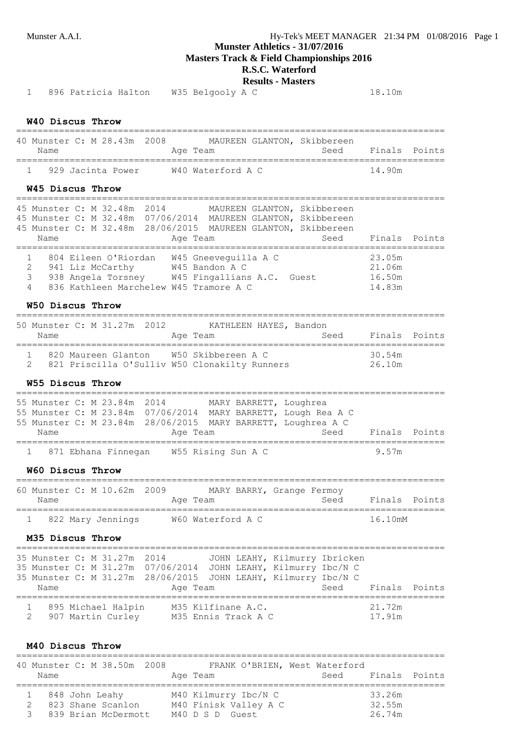**Masters Track & Field Championships 2016**

# **R.S.C. Waterford**

**Results - Masters**

1 896 Patricia Halton W35 Belgooly A C 18.10m

### **W40 Discus Throw**

| 40 Munster C: M 28.43m 2008<br>Name |  |  |  | Age Team          | MAUREEN GLANTON, Skibbereen<br>Seed | Finals Points |  |
|-------------------------------------|--|--|--|-------------------|-------------------------------------|---------------|--|
| 929 Jacinta Power                   |  |  |  | W40 Waterford A C |                                     | 14 90m        |  |

#### **W45 Discus Throw**

================================================================================ 45 Munster C: M 32.48m 2014 MAUREEN GLANTON, Skibbereen 45 Munster C: M 32.48m 07/06/2014 MAUREEN GLANTON, Skibbereen 45 Munster C: M 32.48m 28/06/2015 MAUREEN GLANTON, Skibbereen Name **Age Team** Seed Finals Points Age Team ================================================================================ 1 804 Eileen O'Riordan W45 Gneeveguilla A C 23.05m 2 941 Liz McCarthy W45 Bandon A C 21.06m 3 938 Angela Torsney W45 Fingallians A.C. Guest 16.50m 4 836 Kathleen Marchelew W45 Tramore A C 14.83m

#### **W50 Discus Throw**

| Name |  | 50 Munster C: M 31.27m 2012 | KATHLEEN HAYES, Bandon<br>Age Team                                                      | Seed | Finals Points    |  |
|------|--|-----------------------------|-----------------------------------------------------------------------------------------|------|------------------|--|
|      |  |                             | 820 Maureen Glanton W50 Skibbereen A C<br>821 Priscilla O'Sulliv W50 Clonakilty Runners |      | 30.54m<br>26.10m |  |

### **W55 Discus Throw**

|      |  |                             | 1 871 Ebhana Finnegan W55 Rising Sun A C |  |                                                               | 9.57m         |  |
|------|--|-----------------------------|------------------------------------------|--|---------------------------------------------------------------|---------------|--|
| Name |  |                             | Age Team                                 |  | Seed                                                          | Finals Points |  |
|      |  |                             |                                          |  | 55 Munster C: M 23.84m 28/06/2015 MARY BARRETT, Loughrea A C  |               |  |
|      |  |                             |                                          |  | 55 Munster C: M 23.84m 07/06/2014 MARY BARRETT, Lough Rea A C |               |  |
|      |  | 55 Munster C: M 23.84m 2014 |                                          |  | MARY BARRETT, Loughrea                                        |               |  |
|      |  |                             |                                          |  |                                                               |               |  |

#### **W60 Discus Throw**

| Name | 60 Munster C: M 10.62m 2009 | Age Team          | MARY BARRY, Grange Fermoy | Seed | Finals Points |  |
|------|-----------------------------|-------------------|---------------------------|------|---------------|--|
|      | 822 Mary Jennings           | W60 Waterford A C |                           |      | 16.10mM       |  |

#### **M35 Discus Throw**

| Name |  | 35 Munster C: M 31.27m 2014               | Age Team |  |                                           | JOHN LEAHY, Kilmurry Ibricken<br>35 Munster C: M 31.27m 07/06/2014 JOHN LEAHY, Kilmurry Ibc/N C<br>35 Munster C: M 31.27m 28/06/2015 JOHN LEAHY, Kilmurry Ibc/N C | Seed | Finals Points    |  |
|------|--|-------------------------------------------|----------|--|-------------------------------------------|-------------------------------------------------------------------------------------------------------------------------------------------------------------------|------|------------------|--|
|      |  | 895 Michael Halpin<br>2 907 Martin Curley |          |  | M35 Kilfinane A.C.<br>M35 Ennis Track A C |                                                                                                                                                                   |      | 21.72m<br>17.91m |  |

#### **M40 Discus Throw**

| Name | 40 Munster C: M 38.50m 2008                                |  | Age Team        | FRANK O'BRIEN, West Waterford                 | Seed Finals Points |                            |  |
|------|------------------------------------------------------------|--|-----------------|-----------------------------------------------|--------------------|----------------------------|--|
|      | 848 John Leahy<br>823 Shane Scanlon<br>839 Brian McDermott |  | M40 D S D Guest | M40 Kilmurry Ibc/N C<br>M40 Finisk Valley A C |                    | 33.26m<br>32.55m<br>26.74m |  |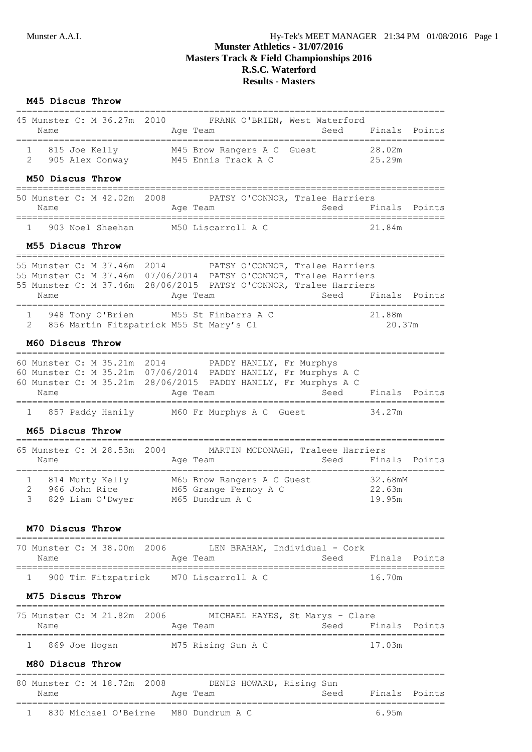$=$ 

# **Munster Athletics - 31/07/2016 Masters Track & Field Championships 2016 R.S.C. Waterford Results - Masters**

### **M45 Discus Throw**

| Name                             |  | 45 Munster C: M 36.27m 2010 |  | Age Team                                          |  | FRANK O'BRIEN, West Waterford<br>Seed | Finals Points    |  |
|----------------------------------|--|-----------------------------|--|---------------------------------------------------|--|---------------------------------------|------------------|--|
| 815 Joe Kelly<br>905 Alex Conway |  |                             |  | M45 Brow Rangers A C Guest<br>M45 Ennis Track A C |  |                                       | 28.02m<br>25.29m |  |

#### **M50 Discus Throw**

| Name | 50 Munster C: M 42.02m 2008 | Age Team           | PATSY O'CONNOR, Tralee Harriers | Seed Finals Points |        |  |
|------|-----------------------------|--------------------|---------------------------------|--------------------|--------|--|
|      | 903 Noel Sheehan            | M50 Liscarroll A C |                                 |                    | 21.84m |  |

#### **M55 Discus Throw**

| 55 Munster C: M 37.46m 2014                                       |  |  |          |  |                                      | PATSY O'CONNOR, Tralee Harriers |                    |  |
|-------------------------------------------------------------------|--|--|----------|--|--------------------------------------|---------------------------------|--------------------|--|
| 55 Munster C: M 37.46m 07/06/2014 PATSY O'CONNOR, Tralee Harriers |  |  |          |  |                                      |                                 |                    |  |
| 55 Munster C: M 37.46m 28/06/2015 PATSY O'CONNOR, Tralee Harriers |  |  |          |  |                                      |                                 |                    |  |
| Name                                                              |  |  | Age Team |  |                                      |                                 | Seed Finals Points |  |
|                                                                   |  |  |          |  |                                      |                                 |                    |  |
|                                                                   |  |  |          |  | 948 Tony O'Brien M55 St Finbarrs A C |                                 | 21.88m             |  |
| 2 856 Martin Fitzpatrick M55 St Mary's Cl                         |  |  |          |  |                                      |                                 | 20.37m             |  |

#### **M60 Discus Throw**

| 60 Munster C: M 35.21m 2014 | PADDY HANILY, Fr Murphys                                       |                    |
|-----------------------------|----------------------------------------------------------------|--------------------|
|                             | 60 Munster C: M 35.21m 07/06/2014 PADDY HANILY, Fr Murphys A C |                    |
|                             | 60 Munster C: M 35.21m 28/06/2015 PADDY HANILY, Fr Murphys A C |                    |
| Name                        | Age Team                                                       | Seed Finals Points |
| 1 857 Paddy Hanily          | M60 Fr Murphys A C Guest                                       | 34.27m             |

#### **M65 Discus Throw**

| Name | 65 Munster C: M 28.53m 2004                          | MARTIN MCDONAGH, Traleee Harriers<br>Age Team                          | Seed | Finals Points               |  |
|------|------------------------------------------------------|------------------------------------------------------------------------|------|-----------------------------|--|
|      | 814 Murty Kelly<br>966 John Rice<br>829 Liam O'Dwyer | M65 Brow Rangers A C Guest<br>M65 Grange Fermoy A C<br>M65 Dundrum A C |      | 32.68mM<br>22.63m<br>19.95m |  |

### **M70 Discus Throw**

| Name | 70 Munster C: M 38.00m 2006            |  | Age Team | LEN BRAHAM, Individual - Cork<br>Seed | Finals Points |  |
|------|----------------------------------------|--|----------|---------------------------------------|---------------|--|
|      | 900 Tim Fitzpatrick M70 Liscarroll A C |  |          |                                       | 16.70m        |  |

### **M75 Discus Throw**

| 75 Munster C: M 21.82m 2006<br>Name |  |  | Age Team           |  | MICHAEL HAYES, St Marys - Clare<br>Seed |        | Finals Points |
|-------------------------------------|--|--|--------------------|--|-----------------------------------------|--------|---------------|
| 869 Joe Hoqan                       |  |  | M75 Rising Sun A C |  |                                         | 17.03m |               |

#### **M80 Discus Throw**

| 80 Munster C: M 18.72m 2008<br>Name |  |  |  | Age Team                             | DENIS HOWARD, Rising Sun | Seed |      | Finals Points |
|-------------------------------------|--|--|--|--------------------------------------|--------------------------|------|------|---------------|
|                                     |  |  |  | 830 Michael O'Beirne 600 Dundrum A C |                          |      | 695m |               |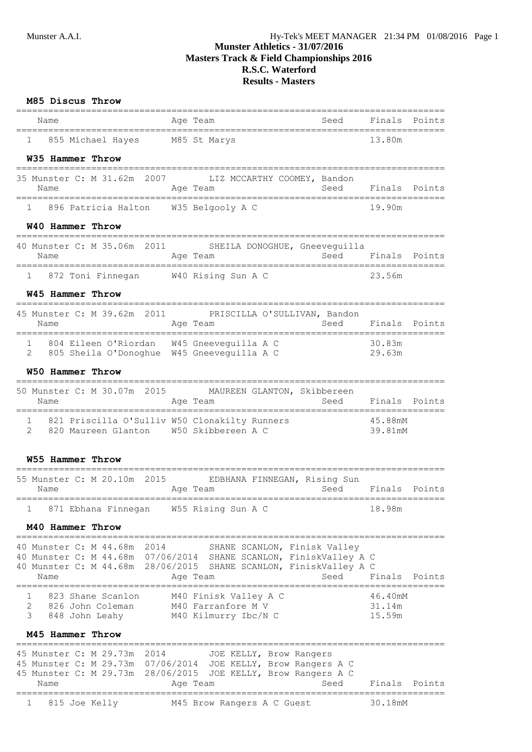# **Munster Athletics - 31/07/2016 Masters Track & Field Championships 2016 R.S.C. Waterford Results - Masters**

### **M85 Discus Throw**

|                                                                                                   |                                                                                                                                                                     | ================                      |
|---------------------------------------------------------------------------------------------------|---------------------------------------------------------------------------------------------------------------------------------------------------------------------|---------------------------------------|
| Name<br>=============================                                                             | Aqe Team                                                                                                                                                            | Seed Finals Points                    |
| 855 Michael Hayes M85 St Marys<br>$1 \quad$                                                       |                                                                                                                                                                     | 13.80m                                |
| W35 Hammer Throw                                                                                  |                                                                                                                                                                     |                                       |
|                                                                                                   |                                                                                                                                                                     |                                       |
| Name                                                                                              | 35 Munster C: M 31.62m 2007 LIZ MCCARTHY COOMEY, Bandon<br>Age Team                                                                                                 | Seed Finals Points                    |
|                                                                                                   |                                                                                                                                                                     |                                       |
| 1 896 Patricia Halton W35 Belgooly A C                                                            |                                                                                                                                                                     | 19.90m                                |
| W40 Hammer Throw                                                                                  |                                                                                                                                                                     |                                       |
| Name                                                                                              | 40 Munster C: M 35.06m 2011 SHEILA DONOGHUE, Gneeveguilla<br><b>Seed</b><br>Aqe Team                                                                                | Finals Points                         |
| 1 872 Toni Finnegan M40 Rising Sun A C                                                            |                                                                                                                                                                     | 23.56m                                |
| W45 Hammer Throw                                                                                  |                                                                                                                                                                     |                                       |
|                                                                                                   | 45 Munster C: M 39.62m 2011 PRISCILLA O'SULLIVAN, Bandon                                                                                                            |                                       |
| Name                                                                                              | Age Team                                                                                                                                                            | Seed<br>Finals Points                 |
| 1 804 Eileen O'Riordan W45 Gneeveguilla A C                                                       |                                                                                                                                                                     | 30.83m                                |
| 805 Sheila O'Donoghue W45 Gneeveguilla A C<br>2                                                   |                                                                                                                                                                     | 29.63m                                |
| W50 Hammer Throw                                                                                  |                                                                                                                                                                     |                                       |
|                                                                                                   | 50 Munster C: M 30.07m 2015 MAUREEN GLANTON, Skibbereen                                                                                                             |                                       |
| Name                                                                                              | Age Team                                                                                                                                                            | Seed Finals Points                    |
| 1 821 Priscilla O'Sulliv W50 Clonakilty Runners                                                   |                                                                                                                                                                     |                                       |
| 820 Maureen Glanton W50 Skibbereen A C<br>2                                                       |                                                                                                                                                                     | 45.88mM<br>39.81mM                    |
| W55 Hammer Throw                                                                                  |                                                                                                                                                                     |                                       |
| Name                                                                                              | 55 Munster C: M 20.10m 2015 EDBHANA FINNEGAN, Rising Sun<br>Age Team                                                                                                | Seed<br>Finals Points                 |
|                                                                                                   |                                                                                                                                                                     |                                       |
| 871 Ebhana Finnegan W55 Rising Sun A C                                                            |                                                                                                                                                                     | 18.98m                                |
| M40 Hammer Throw                                                                                  |                                                                                                                                                                     |                                       |
| 40 Munster C: M 44.68m<br>2014<br>40 Munster C: M 44.68m<br>Name                                  | SHANE SCANLON, Finisk Valley<br>40 Munster C: M 44.68m 07/06/2014 SHANE SCANLON, FiniskValley A C<br>28/06/2015 SHANE SCANLON, FiniskValley A C<br>Age Team<br>Seed | Finals Points                         |
| -----------------------<br>1<br>823 Shane Scanlon<br>2<br>826 John Coleman<br>3<br>848 John Leahy | ______________________________<br>M40 Finisk Valley A C<br>M40 Farranfore M V<br>M40 Kilmurry Ibc/N C                                                               | ------<br>46.40mM<br>31.14m<br>15.59m |
| M45 Hammer Throw                                                                                  |                                                                                                                                                                     |                                       |
| 45 Munster C: M 29.73m<br>2014                                                                    | JOE KELLY, Brow Rangers                                                                                                                                             |                                       |
|                                                                                                   | 45 Munster C: M 29.73m 07/06/2014 JOE KELLY, Brow Rangers A C                                                                                                       |                                       |
| 45 Munster C: M 29.73m<br>Name                                                                    | 28/06/2015<br>JOE KELLY, Brow Rangers A C<br>Seed<br>Age Team                                                                                                       | Finals Points                         |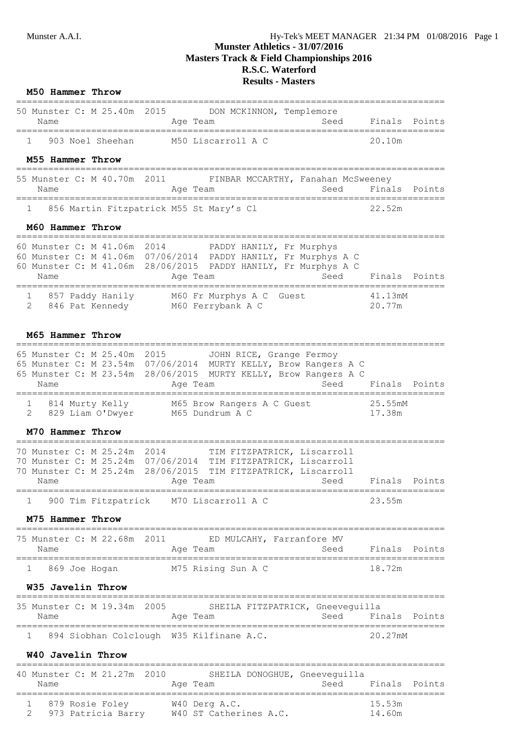# **Munster Athletics - 31/07/2016 Masters Track & Field Championships 2016 R.S.C. Waterford Results - Masters**

### **M50 Hammer Throw**

|      | 50 Munster C: M 25.40m 2015 |                    | DON MCKINNON, Templemore |               |  |
|------|-----------------------------|--------------------|--------------------------|---------------|--|
| Name |                             | Age Team           | Seed                     | Finals Points |  |
|      | 903 Noel Sheehan            | M50 Liscarroll A C |                          | 20 10m        |  |

### **M55 Hammer Throw**

| 55 Munster C: M 40.70m 2011<br>Name |  |  | Age Team |                                         | FINBAR MCCARTHY, Fanahan McSweeney |  | Seed Finals Points |  |
|-------------------------------------|--|--|----------|-----------------------------------------|------------------------------------|--|--------------------|--|
|                                     |  |  |          | 856 Martin Fitzpatrick M55 St Mary's Cl |                                    |  | 22.52m             |  |

### **M60 Hammer Throw**

| 60 Munster C: M 41.06m 2014<br>Name |                  | Age Team |                                               | PADDY HANILY, Fr Murphys<br>60 Munster C: M 41.06m 07/06/2014 PADDY HANILY, Fr Murphys A C<br>60 Munster C: M 41.06m 28/06/2015 PADDY HANILY, Fr Murphys A C<br>Seed | Finals Points     |  |
|-------------------------------------|------------------|----------|-----------------------------------------------|----------------------------------------------------------------------------------------------------------------------------------------------------------------------|-------------------|--|
| 2 846 Pat Kennedy                   | 857 Paddy Hanily |          | M60 Fr Murphys A C Guest<br>M60 Ferrybank A C |                                                                                                                                                                      | 41.13mM<br>20.77m |  |

#### **M65 Hammer Throw**

| 65 Munster C: M 25.40m 2015<br>Name |                 | Age Team |                                               |  | JOHN RICE, Grange Fermoy<br>65 Munster C: M 23.54m 07/06/2014 MURTY KELLY, Brow Rangers A C<br>65 Munster C: M 23.54m 28/06/2015 MURTY KELLY, Brow Rangers A C |  |                   | Seed Finals Points |
|-------------------------------------|-----------------|----------|-----------------------------------------------|--|----------------------------------------------------------------------------------------------------------------------------------------------------------------|--|-------------------|--------------------|
| 829 Liam O'Dwyer                    | 814 Murty Kelly |          | M65 Brow Rangers A C Guest<br>M65 Dundrum A C |  |                                                                                                                                                                |  | 25.55mM<br>17.38m |                    |

## **M70 Hammer Throw**

|                             |  |  |          |  | 900 Tim Fitzpatrick M70 Liscarroll A C                        |      | 23.55m        |  |
|-----------------------------|--|--|----------|--|---------------------------------------------------------------|------|---------------|--|
| Name                        |  |  | Age Team |  |                                                               | Seed | Finals Points |  |
|                             |  |  |          |  | 70 Munster C: M 25.24m 28/06/2015 TIM FITZPATRICK, Liscarroll |      |               |  |
|                             |  |  |          |  | 70 Munster C: M 25.24m 07/06/2014 TIM FITZPATRICK, Liscarroll |      |               |  |
| 70 Munster C: M 25.24m 2014 |  |  |          |  | TIM FITZPATRICK, Liscarroll                                   |      |               |  |
|                             |  |  |          |  |                                                               |      |               |  |

#### **M75 Hammer Throw**

|      |               | 75 Munster C: M 22.68m 2011 |          |                    | ED MULCAHY, Farranfore MV |               |  |
|------|---------------|-----------------------------|----------|--------------------|---------------------------|---------------|--|
| Name |               |                             | Age Team |                    | Seed                      | Finals Points |  |
|      | 869 Joe Hogan |                             |          | M75 Rising Sun A C |                           | 18 72m        |  |

#### **W35 Javelin Throw**

| 35 Munster C: M 19.34m 2005 |  |  |  |                                          | SHEILA FITZPATRICK, Gneeveguilla |      |               |  |
|-----------------------------|--|--|--|------------------------------------------|----------------------------------|------|---------------|--|
| Name                        |  |  |  | Age Team                                 |                                  | Seed | Finals Points |  |
|                             |  |  |  | 894 Siobhan Colclough W35 Kilfinane A.C. |                                  |      | 20.27mM       |  |

## **W40 Javelin Throw**

| Name | 40 Munster C: M 21.27m 2010           | Age Team                                | SHEILA DONOGHUE, Gneevequilla<br>Seed | Finals Points    |  |
|------|---------------------------------------|-----------------------------------------|---------------------------------------|------------------|--|
|      | 879 Rosie Foley<br>973 Patricia Barry | W40 Derg A.C.<br>W40 ST Catherines A.C. |                                       | 15.53m<br>14.60m |  |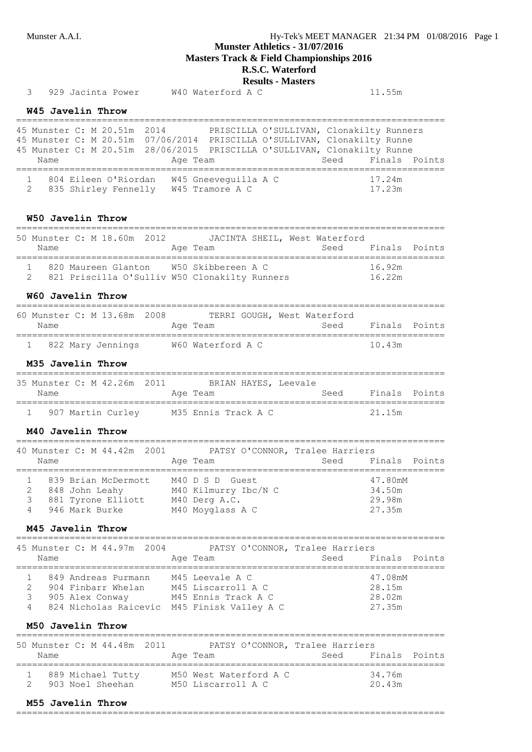**Masters Track & Field Championships 2016**

# **R.S.C. Waterford**

**Results - Masters**

| 3                   |                                                            |                                  |                     |                             | Results - Master's<br>929 Jacinta Power M40 Waterford A C                                                                                                                                                                                |                                      | 11.55m                                |        |
|---------------------|------------------------------------------------------------|----------------------------------|---------------------|-----------------------------|------------------------------------------------------------------------------------------------------------------------------------------------------------------------------------------------------------------------------------------|--------------------------------------|---------------------------------------|--------|
|                     |                                                            |                                  |                     |                             |                                                                                                                                                                                                                                          |                                      |                                       |        |
|                     | W45 Javelin Throw                                          |                                  |                     |                             |                                                                                                                                                                                                                                          |                                      |                                       |        |
|                     | Name<br>=========================                          |                                  |                     |                             | 45 Munster C: M 20.51m 2014 PRISCILLA O'SULLIVAN, Clonakilty Runners<br>45 Munster C: M 20.51m 07/06/2014 PRISCILLA O'SULLIVAN, Clonakilty Runne<br>45 Munster C: M 20.51m 28/06/2015 PRISCILLA O'SULLIVAN, Clonakilty Runne<br>Age Team | Seed                                 | Finals Points                         |        |
| 1<br>2              |                                                            |                                  |                     |                             | 804 Eileen O'Riordan W45 Gneeveguilla A C<br>835 Shirley Fennelly W45 Tramore A C                                                                                                                                                        | 17.24m                               | 17.23m                                |        |
|                     | W50 Javelin Throw                                          |                                  |                     |                             |                                                                                                                                                                                                                                          |                                      |                                       |        |
|                     | Name                                                       |                                  |                     | 50 Munster C: M 18.60m 2012 | JACINTA SHEIL, West Waterford<br>Age Team                                                                                                                                                                                                | Seed Finals Points                   |                                       |        |
| $\mathbf{2}$        |                                                            |                                  |                     |                             | 1 820 Maureen Glanton W50 Skibbereen A C<br>821 Priscilla O'Sulliv W50 Clonakilty Runners 16.22m                                                                                                                                         |                                      | 16.92m                                |        |
|                     | W60 Javelin Throw                                          |                                  |                     |                             |                                                                                                                                                                                                                                          |                                      |                                       |        |
|                     | Name                                                       |                                  |                     |                             | 60 Munster C: M 13.68m 2008 TERRI GOUGH, West Waterford<br>Age Team                                                                                                                                                                      | Seed Finals Points                   |                                       |        |
|                     |                                                            |                                  |                     |                             | 1 822 Mary Jennings W60 Waterford A C                                                                                                                                                                                                    |                                      | 10.43m                                |        |
|                     | M35 Javelin Throw                                          |                                  |                     |                             |                                                                                                                                                                                                                                          |                                      |                                       |        |
|                     | Name                                                       |                                  |                     |                             | 35 Munster C: M 42.26m 2011 BRIAN HAYES, Leevale<br>Age Team Seed Finals Points                                                                                                                                                          | ==================================== |                                       |        |
|                     |                                                            |                                  |                     |                             | 1 907 Martin Curley M35 Ennis Track A C                                                                                                                                                                                                  |                                      | 21.15m                                |        |
|                     | M40 Javelin Throw                                          |                                  |                     |                             |                                                                                                                                                                                                                                          |                                      |                                       |        |
|                     | Name                                                       |                                  |                     |                             | 40 Munster C: M 44.42m 2001 PATSY O'CONNOR, Tralee Harriers<br>Age Team                                                                                                                                                                  |                                      | Seed Finals Points                    |        |
| 2<br>3<br>4         | M45 Javelin Throw                                          | 848 John Leahy<br>946 Mark Burke |                     |                             | 839 Brian McDermott M40 D S D Guest 47.80mM<br>M40 Kilmurry Ibc/N C<br>881 Tyrone Elliott M40 Derg A.C.<br>M40 Moyglass A C                                                                                                              | =========================            | 34.50m<br>29.98m<br>27.35m            |        |
|                     | Name                                                       |                                  |                     | 45 Munster C: M 44.97m 2004 | PATSY O'CONNOR, Tralee Harriers<br>Age Team                                                                                                                                                                                              | Seed                                 | Finals                                | Points |
| 1<br>2<br>3<br>4    | 904 Finbarr Whelan<br>905 Alex Conway<br>M50 Javelin Throw |                                  | 849 Andreas Purmann |                             | M45 Leevale A C<br>M45 Liscarroll A C<br>M45 Ennis Track A C<br>824 Nicholas Raicevic M45 Finisk Valley A C                                                                                                                              |                                      | 47.08mM<br>28.15m<br>28.02m<br>27.35m |        |
|                     |                                                            |                                  |                     | 50 Munster C: M 44.48m 2011 | PATSY O'CONNOR, Tralee Harriers                                                                                                                                                                                                          |                                      |                                       |        |
|                     | Name                                                       |                                  |                     |                             | Age Team                                                                                                                                                                                                                                 | Seed                                 | Finals                                | Points |
| 1<br>$\overline{2}$ |                                                            |                                  | 903 Noel Sheehan    |                             | 889 Michael Tutty M50 West Waterford A C<br>M50 Liscarroll A C                                                                                                                                                                           |                                      | 34.76m<br>20.43m                      |        |

#### **M55 Javelin Throw**

================================================================================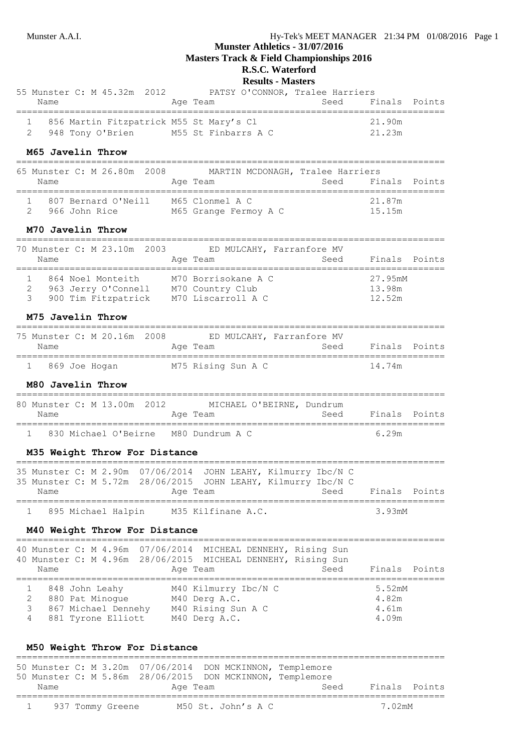$=$ 

# **Munster Athletics - 31/07/2016**

**Masters Track & Field Championships 2016**

### **R.S.C. Waterford Results - Masters**

| Name |  |                  |                             |          |                                                                |              |      |                                                                      |
|------|--|------------------|-----------------------------|----------|----------------------------------------------------------------|--------------|------|----------------------------------------------------------------------|
|      |  |                  |                             |          |                                                                |              |      |                                                                      |
|      |  |                  |                             |          |                                                                |              |      |                                                                      |
|      |  |                  |                             |          |                                                                |              |      |                                                                      |
|      |  | 948 Tony O'Brien | 55 Munster C: M 45.32m 2012 | Age Team | 856 Martin Fitzpatrick M55 St Mary's Cl<br>M55 St Finbarrs A C | $\mathbf{r}$ | Seed | PATSY O'CONNOR, Tralee Harriers<br>Finals Points<br>21.90m<br>21.23m |

#### **M65 Javelin Throw**

| 65 Munster C: M 26.80m 2008<br>Name  |  |  |  | Age Team                                 | MARTIN MCDONAGH, Tralee Harriers | Seed | Finals Points    |  |
|--------------------------------------|--|--|--|------------------------------------------|----------------------------------|------|------------------|--|
| 807 Bernard O'Neill<br>966 John Rice |  |  |  | M65 Clonmel A C<br>M65 Grange Fermoy A C |                                  |      | 21.87m<br>15.15m |  |

## **M70 Javelin Throw**

| Name | 70 Munster C: M 23.10m 2003                                     |  | ED MULCAHY, Farranfore MV<br>Age Team                         | Seed | Finals Points               |  |
|------|-----------------------------------------------------------------|--|---------------------------------------------------------------|------|-----------------------------|--|
|      | 864 Noel Monteith<br>963 Jerry O'Connell<br>900 Tim Fitzpatrick |  | M70 Borrisokane A C<br>M70 Country Club<br>M70 Liscarroll A C |      | 27.95mM<br>13.98m<br>12.52m |  |

## **M75 Javelin Throw**

| Name |               | 75 Munster C: M 20.16m 2008 | Age Team |                    | ED MULCAHY, Farranfore MV<br>Seed | Finals Points |  |
|------|---------------|-----------------------------|----------|--------------------|-----------------------------------|---------------|--|
|      | 869 Joe Hoqan |                             |          | M75 Rising Sun A C |                                   | 14.74m        |  |

### **M80 Javelin Throw**

| 80 Munster C: M 13.00m 2012<br>Name |  |  | Age Team                              | MICHAEL O'BEIRNE, Dundrum | Seed | Finals Points |  |
|-------------------------------------|--|--|---------------------------------------|---------------------------|------|---------------|--|
|                                     |  |  | 830 Michael O'Beirne 6080 Dundrum A C |                           |      | 6.29m         |  |

#### **M35 Weight Throw For Distance**

| Name                 |  |  | Age Team |                    | 35 Munster C: M 2.90m 07/06/2014 JOHN LEAHY, Kilmurry Ibc/N C<br>35 Munster C: M 5.72m 28/06/2015 JOHN LEAHY, Kilmurry Ibc/N C | Seed | Finals Points       |  |
|----------------------|--|--|----------|--------------------|--------------------------------------------------------------------------------------------------------------------------------|------|---------------------|--|
| 1 895 Michael Halpin |  |  |          | M35 Kilfinane A.C. |                                                                                                                                |      | 3.93 <sub>m</sub> M |  |

 $=$ 

### **M40 Weight Throw For Distance**

|             | Name |                                   |                                           | Age Team | 40 Munster C: M 4.96m 07/06/2014 MICHEAL DENNEHY, Rising Sun<br>40 Munster C: M 4.96m 28/06/2015 MICHEAL DENNEHY, Rising Sun |  | Seed | Finals Points                     |  |
|-------------|------|-----------------------------------|-------------------------------------------|----------|------------------------------------------------------------------------------------------------------------------------------|--|------|-----------------------------------|--|
| 2<br>3<br>4 |      | 848 John Leahy<br>880 Pat Minoque | 867 Michael Dennehy<br>881 Tyrone Elliott |          | M40 Kilmurry Ibc/N C<br>M40 Derg A.C.<br>M40 Rising Sun A C<br>M40 Derg A.C.                                                 |  |      | 5.52mM<br>4.82m<br>4.61m<br>4.09m |  |

### **M50 Weight Throw For Distance**

|                |                  | 50 Munster C: M 3.20m 07/06/2014 DON MCKINNON, Templemore |                    |      |        |               |
|----------------|------------------|-----------------------------------------------------------|--------------------|------|--------|---------------|
|                |                  | 50 Munster C: M 5.86m 28/06/2015 DON MCKINNON, Templemore |                    |      |        |               |
| Name           |                  | Age Team                                                  |                    | Seed |        | Finals Points |
|                |                  |                                                           |                    |      |        |               |
| $\overline{1}$ | 937 Tommy Greene |                                                           | M50 St. John's A C |      | 7.02mM |               |